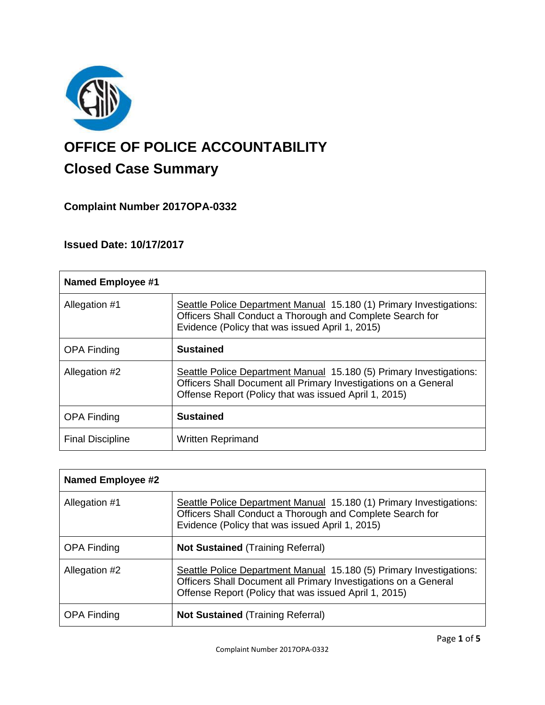

# **OFFICE OF POLICE ACCOUNTABILITY**

# **Closed Case Summary**

## **Complaint Number 2017OPA-0332**

## **Issued Date: 10/17/2017**

| <b>Named Employee #1</b> |                                                                                                                                                                                                 |
|--------------------------|-------------------------------------------------------------------------------------------------------------------------------------------------------------------------------------------------|
| Allegation #1            | Seattle Police Department Manual 15.180 (1) Primary Investigations:<br>Officers Shall Conduct a Thorough and Complete Search for<br>Evidence (Policy that was issued April 1, 2015)             |
| <b>OPA Finding</b>       | <b>Sustained</b>                                                                                                                                                                                |
| Allegation #2            | Seattle Police Department Manual 15.180 (5) Primary Investigations:<br>Officers Shall Document all Primary Investigations on a General<br>Offense Report (Policy that was issued April 1, 2015) |
| <b>OPA Finding</b>       | <b>Sustained</b>                                                                                                                                                                                |
| <b>Final Discipline</b>  | <b>Written Reprimand</b>                                                                                                                                                                        |

| <b>Named Employee #2</b> |                                                                                                                                                                                                 |
|--------------------------|-------------------------------------------------------------------------------------------------------------------------------------------------------------------------------------------------|
| Allegation #1            | Seattle Police Department Manual 15.180 (1) Primary Investigations:<br>Officers Shall Conduct a Thorough and Complete Search for<br>Evidence (Policy that was issued April 1, 2015)             |
| <b>OPA Finding</b>       | <b>Not Sustained (Training Referral)</b>                                                                                                                                                        |
| Allegation #2            | Seattle Police Department Manual 15.180 (5) Primary Investigations:<br>Officers Shall Document all Primary Investigations on a General<br>Offense Report (Policy that was issued April 1, 2015) |
| <b>OPA Finding</b>       | <b>Not Sustained (Training Referral)</b>                                                                                                                                                        |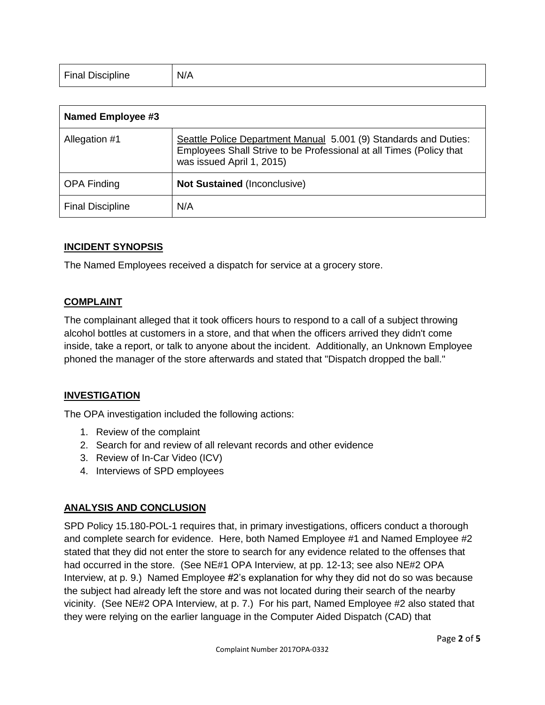| <b>Final Discipline</b><br>$\sim$ | N/A |
|-----------------------------------|-----|
|-----------------------------------|-----|

| <b>Named Employee #3</b> |                                                                                                                                                                      |
|--------------------------|----------------------------------------------------------------------------------------------------------------------------------------------------------------------|
| Allegation #1            | Seattle Police Department Manual 5.001 (9) Standards and Duties:<br>Employees Shall Strive to be Professional at all Times (Policy that<br>was issued April 1, 2015) |
| <b>OPA Finding</b>       | <b>Not Sustained (Inconclusive)</b>                                                                                                                                  |
| <b>Final Discipline</b>  | N/A                                                                                                                                                                  |

#### **INCIDENT SYNOPSIS**

The Named Employees received a dispatch for service at a grocery store.

#### **COMPLAINT**

The complainant alleged that it took officers hours to respond to a call of a subject throwing alcohol bottles at customers in a store, and that when the officers arrived they didn't come inside, take a report, or talk to anyone about the incident. Additionally, an Unknown Employee phoned the manager of the store afterwards and stated that "Dispatch dropped the ball."

#### **INVESTIGATION**

The OPA investigation included the following actions:

- 1. Review of the complaint
- 2. Search for and review of all relevant records and other evidence
- 3. Review of In-Car Video (ICV)
- 4. Interviews of SPD employees

#### **ANALYSIS AND CONCLUSION**

SPD Policy 15.180-POL-1 requires that, in primary investigations, officers conduct a thorough and complete search for evidence. Here, both Named Employee #1 and Named Employee #2 stated that they did not enter the store to search for any evidence related to the offenses that had occurred in the store. (See NE#1 OPA Interview, at pp. 12-13; see also NE#2 OPA Interview, at p. 9.) Named Employee #2's explanation for why they did not do so was because the subject had already left the store and was not located during their search of the nearby vicinity. (See NE#2 OPA Interview, at p. 7.) For his part, Named Employee #2 also stated that they were relying on the earlier language in the Computer Aided Dispatch (CAD) that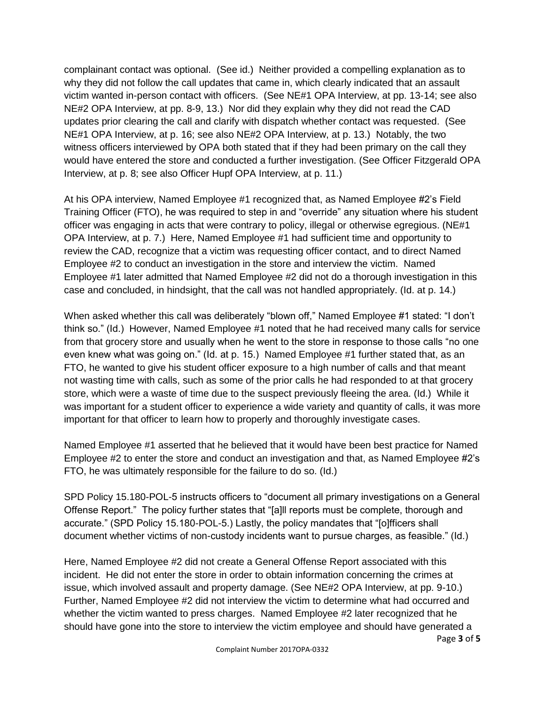complainant contact was optional. (See id.) Neither provided a compelling explanation as to why they did not follow the call updates that came in, which clearly indicated that an assault victim wanted in-person contact with officers. (See NE#1 OPA Interview, at pp. 13-14; see also NE#2 OPA Interview, at pp. 8-9, 13.) Nor did they explain why they did not read the CAD updates prior clearing the call and clarify with dispatch whether contact was requested. (See NE#1 OPA Interview, at p. 16; see also NE#2 OPA Interview, at p. 13.) Notably, the two witness officers interviewed by OPA both stated that if they had been primary on the call they would have entered the store and conducted a further investigation. (See Officer Fitzgerald OPA Interview, at p. 8; see also Officer Hupf OPA Interview, at p. 11.)

At his OPA interview, Named Employee #1 recognized that, as Named Employee #2's Field Training Officer (FTO), he was required to step in and "override" any situation where his student officer was engaging in acts that were contrary to policy, illegal or otherwise egregious. (NE#1 OPA Interview, at p. 7.) Here, Named Employee #1 had sufficient time and opportunity to review the CAD, recognize that a victim was requesting officer contact, and to direct Named Employee #2 to conduct an investigation in the store and interview the victim. Named Employee #1 later admitted that Named Employee #2 did not do a thorough investigation in this case and concluded, in hindsight, that the call was not handled appropriately. (Id. at p. 14.)

When asked whether this call was deliberately "blown off," Named Employee #1 stated: "I don't think so." (Id.) However, Named Employee #1 noted that he had received many calls for service from that grocery store and usually when he went to the store in response to those calls "no one even knew what was going on." (Id. at p. 15.) Named Employee #1 further stated that, as an FTO, he wanted to give his student officer exposure to a high number of calls and that meant not wasting time with calls, such as some of the prior calls he had responded to at that grocery store, which were a waste of time due to the suspect previously fleeing the area. (Id.) While it was important for a student officer to experience a wide variety and quantity of calls, it was more important for that officer to learn how to properly and thoroughly investigate cases.

Named Employee #1 asserted that he believed that it would have been best practice for Named Employee #2 to enter the store and conduct an investigation and that, as Named Employee #2's FTO, he was ultimately responsible for the failure to do so. (Id.)

SPD Policy 15.180-POL-5 instructs officers to "document all primary investigations on a General Offense Report." The policy further states that "[a]ll reports must be complete, thorough and accurate." (SPD Policy 15.180-POL-5.) Lastly, the policy mandates that "[o]fficers shall document whether victims of non-custody incidents want to pursue charges, as feasible." (Id.)

Page **3** of **5** Here, Named Employee #2 did not create a General Offense Report associated with this incident. He did not enter the store in order to obtain information concerning the crimes at issue, which involved assault and property damage. (See NE#2 OPA Interview, at pp. 9-10.) Further, Named Employee #2 did not interview the victim to determine what had occurred and whether the victim wanted to press charges. Named Employee #2 later recognized that he should have gone into the store to interview the victim employee and should have generated a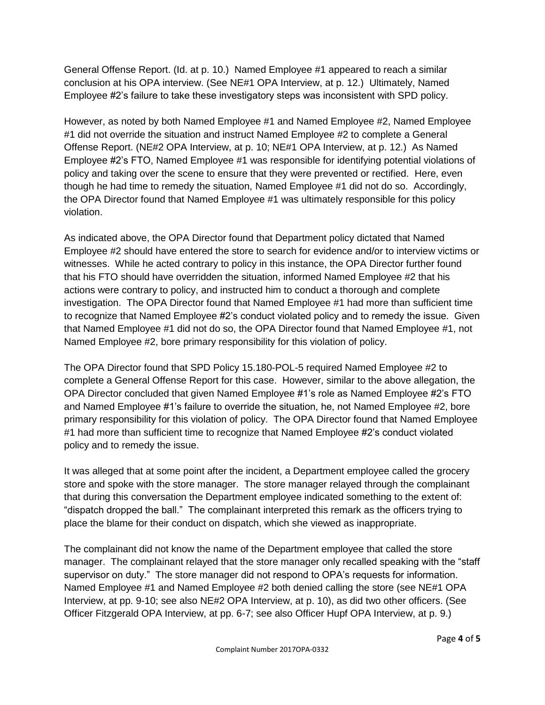General Offense Report. (Id. at p. 10.) Named Employee #1 appeared to reach a similar conclusion at his OPA interview. (See NE#1 OPA Interview, at p. 12.) Ultimately, Named Employee #2's failure to take these investigatory steps was inconsistent with SPD policy.

However, as noted by both Named Employee #1 and Named Employee #2, Named Employee #1 did not override the situation and instruct Named Employee #2 to complete a General Offense Report. (NE#2 OPA Interview, at p. 10; NE#1 OPA Interview, at p. 12.) As Named Employee #2's FTO, Named Employee #1 was responsible for identifying potential violations of policy and taking over the scene to ensure that they were prevented or rectified. Here, even though he had time to remedy the situation, Named Employee #1 did not do so. Accordingly, the OPA Director found that Named Employee #1 was ultimately responsible for this policy violation.

As indicated above, the OPA Director found that Department policy dictated that Named Employee #2 should have entered the store to search for evidence and/or to interview victims or witnesses. While he acted contrary to policy in this instance, the OPA Director further found that his FTO should have overridden the situation, informed Named Employee #2 that his actions were contrary to policy, and instructed him to conduct a thorough and complete investigation. The OPA Director found that Named Employee #1 had more than sufficient time to recognize that Named Employee #2's conduct violated policy and to remedy the issue. Given that Named Employee #1 did not do so, the OPA Director found that Named Employee #1, not Named Employee #2, bore primary responsibility for this violation of policy.

The OPA Director found that SPD Policy 15.180-POL-5 required Named Employee #2 to complete a General Offense Report for this case. However, similar to the above allegation, the OPA Director concluded that given Named Employee #1's role as Named Employee #2's FTO and Named Employee #1's failure to override the situation, he, not Named Employee #2, bore primary responsibility for this violation of policy. The OPA Director found that Named Employee #1 had more than sufficient time to recognize that Named Employee #2's conduct violated policy and to remedy the issue.

It was alleged that at some point after the incident, a Department employee called the grocery store and spoke with the store manager. The store manager relayed through the complainant that during this conversation the Department employee indicated something to the extent of: "dispatch dropped the ball." The complainant interpreted this remark as the officers trying to place the blame for their conduct on dispatch, which she viewed as inappropriate.

The complainant did not know the name of the Department employee that called the store manager. The complainant relayed that the store manager only recalled speaking with the "staff supervisor on duty." The store manager did not respond to OPA's requests for information. Named Employee #1 and Named Employee #2 both denied calling the store (see NE#1 OPA Interview, at pp. 9-10; see also NE#2 OPA Interview, at p. 10), as did two other officers. (See Officer Fitzgerald OPA Interview, at pp. 6-7; see also Officer Hupf OPA Interview, at p. 9.)